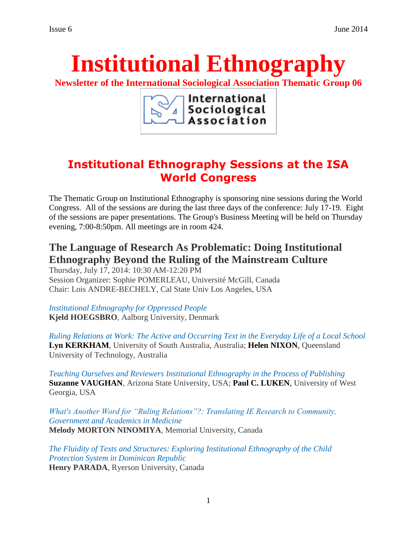# **Institutional Ethnography**

**Newsletter of the International Sociological Association Thematic Group 06**

International Sociological Association

# **Institutional Ethnography Sessions at the ISA World Congress**

The Thematic Group on Institutional Ethnography is sponsoring nine sessions during the World Congress. All of the sessions are during the last three days of the conference: July 17-19. Eight of the sessions are paper presentations. The Group's Business Meeting will be held on Thursday evening, 7:00-8:50pm. All meetings are in room 424.

## **The Language of Research As Problematic: Doing Institutional Ethnography Beyond the Ruling of the Mainstream Culture**

Thursday, July 17, 2014: 10:30 AM-12:20 PM Session Organizer: Sophie POMERLEAU, Université McGill, Canada Chair: Lois ANDRE-BECHELY, Cal State Univ Los Angeles, USA

*[Institutional Ethnography for Oppressed People](https://isaconf.confex.com/isaconf/wc2014/webprogram/Paper43377.html)*  **Kjeld HOEGSBRO**, Aalborg University, Denmark

*[Ruling Relations at Work: The Active and Occurring Text in the Everyday Life of a Local School](https://isaconf.confex.com/isaconf/wc2014/webprogram/Paper36608.html)*  **Lyn KERKHAM**, University of South Australia, Australia; **Helen NIXON**, Queensland University of Technology, Australia

*[Teaching Ourselves and Reviewers Institutional Ethnography in the Process of Publishing](https://isaconf.confex.com/isaconf/wc2014/webprogram/Paper48776.html)*  **Suzanne VAUGHAN**, Arizona State University, USA; **Paul C. LUKEN**, University of West Georgia, USA

*[What's Another Word for "Ruling Relations"?: Translating IE Research to Community,](https://isaconf.confex.com/isaconf/wc2014/webprogram/Paper60077.html)  [Government and Academics in Medicine](https://isaconf.confex.com/isaconf/wc2014/webprogram/Paper60077.html)* **Melody MORTON NINOMIYA**, Memorial University, Canada

*[The Fluidity of Texts and Structures: Exploring Institutional Ethnography of the Child](https://isaconf.confex.com/isaconf/wc2014/webprogram/Paper49525.html)  [Protection System in Dominican Republic](https://isaconf.confex.com/isaconf/wc2014/webprogram/Paper49525.html)*  **Henry PARADA**, Ryerson University, Canada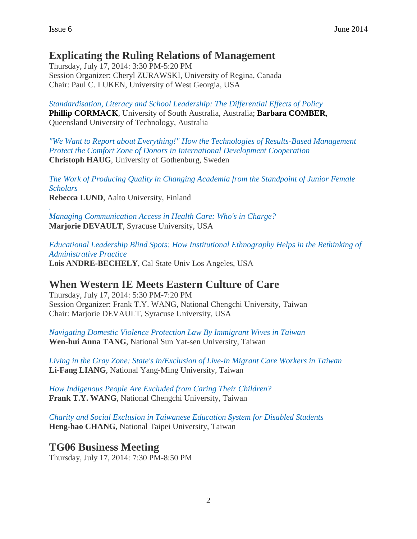## **Explicating the Ruling Relations of Management**

Thursday, July 17, 2014: 3:30 PM-5:20 PM Session Organizer: Cheryl ZURAWSKI, University of Regina, Canada Chair: Paul C. LUKEN, University of West Georgia, USA

*[Standardisation, Literacy and School Leadership: The Differential Effects of Policy](https://isaconf.confex.com/isaconf/wc2014/webprogram/Paper38862.html)*  **Phillip CORMACK**, University of South Australia, Australia; **Barbara COMBER**, Queensland University of Technology, Australia

*["We Want to Report about Everything!" How the Technologies of Results-Based Management](https://isaconf.confex.com/isaconf/wc2014/webprogram/Paper43621.html) [Protect the Comfort Zone of Donors in International Development Cooperation](https://isaconf.confex.com/isaconf/wc2014/webprogram/Paper43621.html)*  **Christoph HAUG**, University of Gothenburg, Sweden

*[The Work of Producing Quality in Changing Academia from the Standpoint of Junior Female](https://isaconf.confex.com/isaconf/wc2014/webprogram/Paper53275.html)  [Scholars](https://isaconf.confex.com/isaconf/wc2014/webprogram/Paper53275.html)*  **Rebecca LUND**, Aalto University, Finland

*[.](https://isaconf.confex.com/isaconf/wc2014/webprogram/Paper60878.html) [Managing Communication Access in Health Care: Who's in Charge?](https://isaconf.confex.com/isaconf/wc2014/webprogram/Paper60878.html)*  **Marjorie DEVAULT**, Syracuse University, USA

*[Educational Leadership Blind Spots: How Institutional](https://isaconf.confex.com/isaconf/wc2014/webprogram/Paper62634.html) Ethnography Helps in the Rethinking of [Administrative Practice](https://isaconf.confex.com/isaconf/wc2014/webprogram/Paper62634.html)*  **Lois ANDRE-BECHELY**, Cal State Univ Los Angeles, USA

## **When Western IE Meets Eastern Culture of Care**

Thursday, July 17, 2014: 5:30 PM-7:20 PM Session Organizer: Frank T.Y. WANG, National Chengchi University, Taiwan Chair: Marjorie DEVAULT, Syracuse University, USA

*[Navigating Domestic Violence Protection Law By Immigrant Wives in Taiwan](https://isaconf.confex.com/isaconf/wc2014/webprogram/Paper50012.html)*  **Wen-hui Anna TANG**, National Sun Yat-sen University, Taiwan

*[Living in the Gray Zone: State's in/Exclusion of Live-in Migrant Care Workers in Taiwan](https://isaconf.confex.com/isaconf/wc2014/webprogram/Paper50045.html)*  **Li-Fang LIANG**, National Yang-Ming University, Taiwan

*[How Indigenous People Are Excluded from Caring Their Children?](https://isaconf.confex.com/isaconf/wc2014/webprogram/Paper50073.html)*  **Frank T.Y. WANG**, National Chengchi University, Taiwan

*[Charity and Social Exclusion in Taiwanese Education System for Disabled Students](https://isaconf.confex.com/isaconf/wc2014/webprogram/Paper50088.html)*  **Heng-hao CHANG**, National Taipei University, Taiwan

**TG06 Business Meeting**

Thursday, July 17, 2014: 7:30 PM-8:50 PM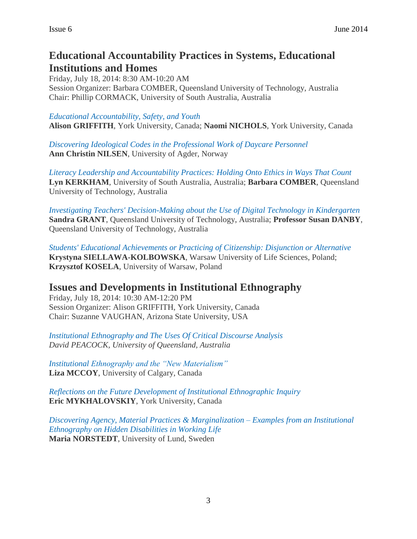## **Educational Accountability Practices in Systems, Educational Institutions and Homes**

Friday, July 18, 2014: 8:30 AM-10:20 AM Session Organizer: Barbara COMBER, Queensland University of Technology, Australia Chair: Phillip CORMACK, University of South Australia, Australia

#### *[Educational Accountability, Safety, and Youth](https://isaconf.confex.com/isaconf/wc2014/webprogram/Paper45190.html)*

**Alison GRIFFITH**, York University, Canada; **Naomi NICHOLS**, York University, Canada

*[Discovering Ideological Codes in the Professional Work of Daycare Personnel](https://isaconf.confex.com/isaconf/wc2014/webprogram/Paper44532.html)*  **Ann Christin NILSEN**, University of Agder, Norway

*[Literacy Leadership and Accountability Practices: Holding Onto Ethics in Ways That Count](https://isaconf.confex.com/isaconf/wc2014/webprogram/Paper36914.html)*  **Lyn KERKHAM**, University of South Australia, Australia; **Barbara COMBER**, Queensland University of Technology, Australia

*[Investigating Teachers' Decision-Making about the Use of Digital Technology in Kindergarten](https://isaconf.confex.com/isaconf/wc2014/webprogram/Paper44017.html)*  **Sandra GRANT**, Queensland University of Technology, Australia; **Professor Susan DANBY**, Queensland University of Technology, Australia

*[Students' Educational Achievements or Practicing of](https://isaconf.confex.com/isaconf/wc2014/webprogram/Paper48748.html) Citizenship: Disjunction or Alternative*  **Krystyna SIELLAWA-KOLBOWSKA**, Warsaw University of Life Sciences, Poland; **Krzysztof KOSELA**, University of Warsaw, Poland

## **Issues and Developments in Institutional Ethnography**

Friday, July 18, 2014: 10:30 AM-12:20 PM Session Organizer: Alison GRIFFITH, York University, Canada Chair: Suzanne VAUGHAN, Arizona State University, USA

*[Institutional Ethnography and The Uses Of Critical Discourse Analysis](https://isaconf.confex.com/isaconf/wc2014/webprogram/Paper30346.html)  David PEACOCK, University of Queensland, Australia*

*[Institutional Ethnography and the "New Materialism"](https://isaconf.confex.com/isaconf/wc2014/webprogram/Paper67424.html)*  **Liza MCCOY**, University of Calgary, Canada

*[Reflections on the Future Development of Institutional Ethnographic Inquiry](https://isaconf.confex.com/isaconf/wc2014/webprogram/Paper50352.html)*  **Eric MYKHALOVSKIY**, York University, Canada

*[Discovering Agency, Material Practices & Marginalization –](https://isaconf.confex.com/isaconf/wc2014/webprogram/Paper44139.html) Examples from an Institutional [Ethnography on Hidden Disabilities in Working Life](https://isaconf.confex.com/isaconf/wc2014/webprogram/Paper44139.html)*  **Maria NORSTEDT**, University of Lund, Sweden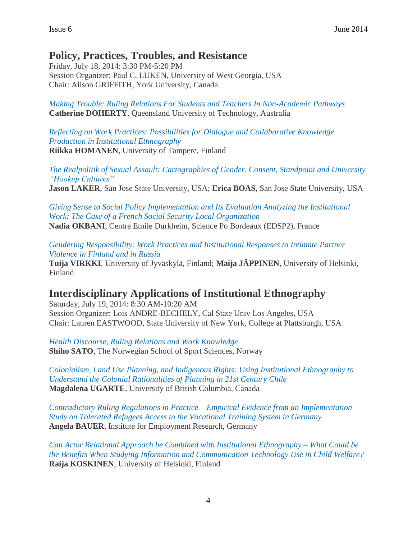## **Policy, Practices, Troubles, and Resistance**

Friday, July 18, 2014: 3:30 PM-5:20 PM Session Organizer: Paul C. LUKEN, University of West Georgia, USA Chair: Alison GRIFFITH, York University, Canada

*[Making Trouble: Ruling Relations For Students and Teachers In Non-Academic Pathways](https://isaconf.confex.com/isaconf/wc2014/webprogram/Paper36373.html)*  **Catherine DOHERTY**, Queensland University of Technology, Australia

*[Reflecting on Work Practices: Possibilities for Dialogue and Collaborative Knowledge](https://isaconf.confex.com/isaconf/wc2014/webprogram/Paper50620.html)  [Production in Institutional Ethnography](https://isaconf.confex.com/isaconf/wc2014/webprogram/Paper50620.html)*  **Riikka HOMANEN**, University of Tampere, Finland

*[The Realpolitik of Sexual Assault: Cartographies of Gender, Consent, Standpoint and University](https://isaconf.confex.com/isaconf/wc2014/webprogram/Paper40677.html)  ["Hookup Cultures"](https://isaconf.confex.com/isaconf/wc2014/webprogram/Paper40677.html)*  **Jason LAKER**, San Jose State University, USA; **Erica BOAS**, San Jose State University, USA

*[Giving Sense to Social Policy Implementation and Its Evaluation Analyzing the Institutional](https://isaconf.confex.com/isaconf/wc2014/webprogram/Paper55104.html)  [Work: The Case of a French Social Security Local Organization](https://isaconf.confex.com/isaconf/wc2014/webprogram/Paper55104.html)*  **Nadia OKBANI**, Centre Emile Durkheim, Science Po Bordeaux (EDSP2), France

*[Gendering Responsibility: Work Practices and Institutional Responses to Intimate Partner](https://isaconf.confex.com/isaconf/wc2014/webprogram/Paper50563.html)  [Violence in Finland and in Russia](https://isaconf.confex.com/isaconf/wc2014/webprogram/Paper50563.html)* 

**Tuija VIRKKI**, University of Jyväskylä, Finland; **Maija JÄPPINEN**, University of Helsinki, Finland

## **Interdisciplinary Applications of Institutional Ethnography**

Saturday, July 19, 2014: 8:30 AM-10:20 AM Session Organizer: Lois ANDRE-BECHELY, Cal State Univ Los Angeles, USA Chair: Lauren EASTWOOD, State University of New York, College at Plattsburgh, USA

*Health Discourse, [Ruling Relations and Work Knowledge](https://isaconf.confex.com/isaconf/wc2014/webprogram/Paper40394.html)*  **Shiho SATO**, The Norwegian School of Sport Sciences, Norway

*[Colonialism, Land Use Planning, and Indigenous Rights: Using Institutional Ethnography to](https://isaconf.confex.com/isaconf/wc2014/webprogram/Paper42770.html)  [Understand the Colonial Rationalities of Planning in 21st Century Chile](https://isaconf.confex.com/isaconf/wc2014/webprogram/Paper42770.html)*  **Magdalena UGARTE**, University of British Columbia, Canada

*[Contradictory Ruling Regulations in Practice –](https://isaconf.confex.com/isaconf/wc2014/webprogram/Paper44989.html) Empirical Evidence from an Implementation [Study on Tolerated Refugees Access to the Vocational Training System in Germany](https://isaconf.confex.com/isaconf/wc2014/webprogram/Paper44989.html)*  **Angela BAUER**, Institute for Employment Research, Germany

*[Can Actor Relational Approach be Combined with Institutional Ethnography –](https://isaconf.confex.com/isaconf/wc2014/webprogram/Paper53546.html) What Could be [the Benefits When Studying Information and Communication Technology Use in Child Welfare?](https://isaconf.confex.com/isaconf/wc2014/webprogram/Paper53546.html)*  **Raija KOSKINEN**, University of Helsinki, Finland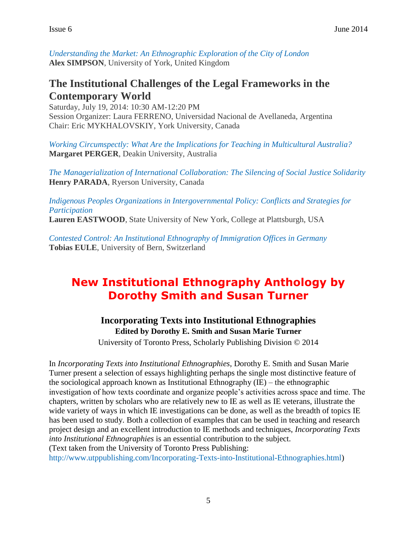*[Understanding the Market: An Ethnographic Exploration of the City of London](https://isaconf.confex.com/isaconf/wc2014/webprogram/Paper55707.html)*  **Alex SIMPSON**, University of York, United Kingdom

## **The Institutional Challenges of the Legal Frameworks in the Contemporary World**

Saturday, July 19, 2014: 10:30 AM-12:20 PM Session Organizer: Laura FERRENO, Universidad Nacional de Avellaneda, Argentina Chair: Eric MYKHALOVSKIY, York University, Canada

*[Working Circumspectly: What Are the Implications for Teaching in Multicultural Australia?](https://isaconf.confex.com/isaconf/wc2014/webprogram/Paper39639.html)*  **Margaret PERGER**, Deakin University, Australia

*[The Managerialization of International Collaboration: The Silencing of Social Justice Solidarity](https://isaconf.confex.com/isaconf/wc2014/webprogram/Paper49512.html)*  **Henry PARADA**, Ryerson University, Canada

*[Indigenous Peoples Organizations in Intergovernmental Policy: Conflicts and Strategies for](https://isaconf.confex.com/isaconf/wc2014/webprogram/Paper60305.html)  [Participation](https://isaconf.confex.com/isaconf/wc2014/webprogram/Paper60305.html)* 

**Lauren EASTWOOD**, State University of New York, College at Plattsburgh, USA

*[Contested Control: An Institutional Ethnography of Immigration Offices in Germany](https://isaconf.confex.com/isaconf/wc2014/webprogram/Paper68621.html)*  **Tobias EULE**, University of Bern, Switzerland

# **New Institutional Ethnography Anthology by Dorothy Smith and Susan Turner**

#### **Incorporating Texts into Institutional Ethnographies Edited by Dorothy E. Smith and Susan Marie Turner**

University of Toronto Press, Scholarly Publishing Division © 2014

In *Incorporating Texts into Institutional Ethnographies*, Dorothy E. Smith and Susan Marie Turner present a selection of essays highlighting perhaps the single most distinctive feature of the sociological approach known as Institutional Ethnography (IE) – the ethnographic investigation of how texts coordinate and organize people's activities across space and time. The chapters, written by scholars who are relatively new to IE as well as IE veterans, illustrate the wide variety of ways in which IE investigations can be done, as well as the breadth of topics IE has been used to study. Both a collection of examples that can be used in teaching and research project design and an excellent introduction to IE methods and techniques, *Incorporating Texts into Institutional Ethnographies* is an essential contribution to the subject. (Text taken from the University of Toronto Press Publishing:

[http://www.utppublishing.com/Incorporating-Texts-into-Institutional-Ethnographies.html\)](http://www.utppublishing.com/Incorporating-Texts-into-Institutional-Ethnographies.html)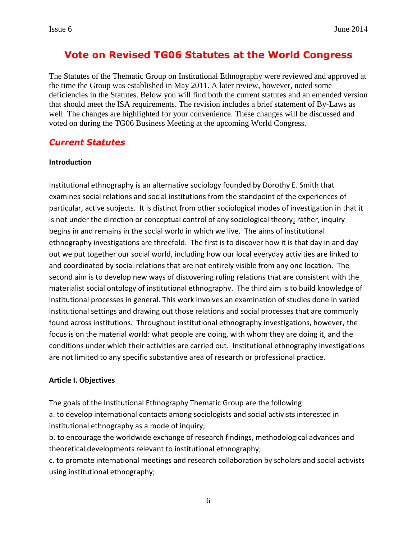## **Vote on Revised TG06 Statutes at the World Congress**

The Statutes of the Thematic Group on Institutional Ethnography were reviewed and approved at the time the Group was established in May 2011. A later review, however, noted some deficiencies in the Statutes. Below you will find both the current statutes and an emended version that should meet the ISA requirements. The revision includes a brief statement of By-Laws as well. The changes are highlighted for your convenience. These changes will be discussed and voted on during the TG06 Business Meeting at the upcoming World Congress.

#### *Current Statutes*

#### **Introduction**

Institutional ethnography is an alternative sociology founded by Dorothy E. Smith that examines social relations and social institutions from the standpoint of the experiences of particular, active subjects. It is distinct from other sociological modes of investigation in that it is not under the direction or conceptual control of any sociological theory; rather, inquiry begins in and remains in the social world in which we live. The aims of institutional ethnography investigations are threefold. The first is to discover how it is that day in and day out we put together our social world, including how our local everyday activities are linked to and coordinated by social relations that are not entirely visible from any one location. The second aim is to develop new ways of discovering ruling relations that are consistent with the materialist social ontology of institutional ethnography. The third aim is to build knowledge of institutional processes in general. This work involves an examination of studies done in varied institutional settings and drawing out those relations and social processes that are commonly found across institutions. Throughout institutional ethnography investigations, however, the focus is on the material world: what people are doing, with whom they are doing it, and the conditions under which their activities are carried out. Institutional ethnography investigations are not limited to any specific substantive area of research or professional practice.

#### **Article I. Objectives**

The goals of the Institutional Ethnography Thematic Group are the following: a. to develop international contacts among sociologists and social activists interested in institutional ethnography as a mode of inquiry;

b. to encourage the worldwide exchange of research findings, methodological advances and theoretical developments relevant to institutional ethnography;

c. to promote international meetings and research collaboration by scholars and social activists using institutional ethnography;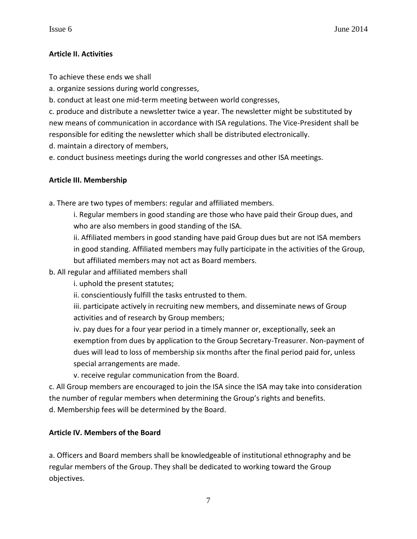#### **Article II. Activities**

To achieve these ends we shall

a. organize sessions during world congresses,

b. conduct at least one mid-term meeting between world congresses,

c. produce and distribute a newsletter twice a year. The newsletter might be substituted by new means of communication in accordance with ISA regulations. The Vice-President shall be responsible for editing the newsletter which shall be distributed electronically.

d. maintain a directory of members,

e. conduct business meetings during the world congresses and other ISA meetings.

#### **Article III. Membership**

a. There are two types of members: regular and affiliated members.

i. Regular members in good standing are those who have paid their Group dues, and who are also members in good standing of the ISA.

ii. Affiliated members in good standing have paid Group dues but are not ISA members in good standing. Affiliated members may fully participate in the activities of the Group, but affiliated members may not act as Board members.

b. All regular and affiliated members shall

i. uphold the present statutes;

ii. conscientiously fulfill the tasks entrusted to them.

iii. participate actively in recruiting new members, and disseminate news of Group activities and of research by Group members;

iv. pay dues for a four year period in a timely manner or, exceptionally, seek an exemption from dues by application to the Group Secretary-Treasurer. Non-payment of dues will lead to loss of membership six months after the final period paid for, unless special arrangements are made.

v. receive regular communication from the Board.

c. All Group members are encouraged to join the ISA since the ISA may take into consideration the number of regular members when determining the Group's rights and benefits.

d. Membership fees will be determined by the Board.

#### **Article IV. Members of the Board**

a. Officers and Board members shall be knowledgeable of institutional ethnography and be regular members of the Group. They shall be dedicated to working toward the Group objectives.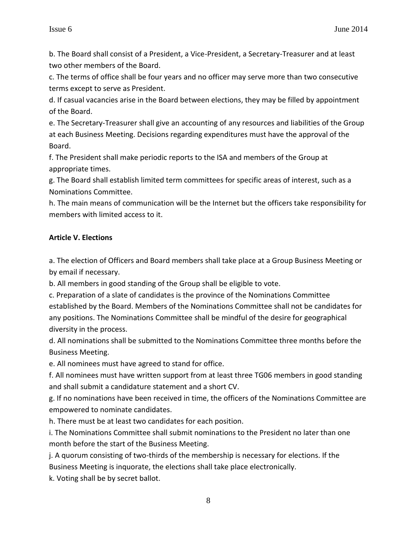b. The Board shall consist of a President, a Vice-President, a Secretary-Treasurer and at least two other members of the Board.

c. The terms of office shall be four years and no officer may serve more than two consecutive terms except to serve as President.

d. If casual vacancies arise in the Board between elections, they may be filled by appointment of the Board.

e. The Secretary-Treasurer shall give an accounting of any resources and liabilities of the Group at each Business Meeting. Decisions regarding expenditures must have the approval of the Board.

f. The President shall make periodic reports to the ISA and members of the Group at appropriate times.

g. The Board shall establish limited term committees for specific areas of interest, such as a Nominations Committee.

h. The main means of communication will be the Internet but the officers take responsibility for members with limited access to it.

#### **Article V. Elections**

a. The election of Officers and Board members shall take place at a Group Business Meeting or by email if necessary.

b. All members in good standing of the Group shall be eligible to vote.

c. Preparation of a slate of candidates is the province of the Nominations Committee established by the Board. Members of the Nominations Committee shall not be candidates for any positions. The Nominations Committee shall be mindful of the desire for geographical diversity in the process.

d. All nominations shall be submitted to the Nominations Committee three months before the Business Meeting.

e. All nominees must have agreed to stand for office.

f. All nominees must have written support from at least three TG06 members in good standing and shall submit a candidature statement and a short CV.

g. If no nominations have been received in time, the officers of the Nominations Committee are empowered to nominate candidates.

h. There must be at least two candidates for each position.

i. The Nominations Committee shall submit nominations to the President no later than one month before the start of the Business Meeting.

j. A quorum consisting of two-thirds of the membership is necessary for elections. If the Business Meeting is inquorate, the elections shall take place electronically.

k. Voting shall be by secret ballot.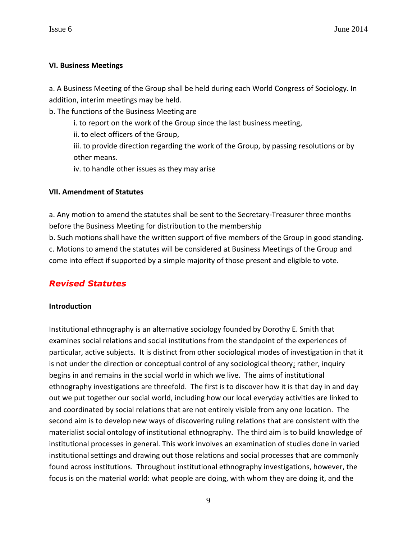#### **VI. Business Meetings**

a. A Business Meeting of the Group shall be held during each World Congress of Sociology. In addition, interim meetings may be held.

b. The functions of the Business Meeting are

i. to report on the work of the Group since the last business meeting,

ii. to elect officers of the Group,

iii. to provide direction regarding the work of the Group, by passing resolutions or by other means.

iv. to handle other issues as they may arise

#### **VII. Amendment of Statutes**

a. Any motion to amend the statutes shall be sent to the Secretary-Treasurer three months before the Business Meeting for distribution to the membership

b. Such motions shall have the written support of five members of the Group in good standing. c. Motions to amend the statutes will be considered at Business Meetings of the Group and come into effect if supported by a simple majority of those present and eligible to vote.

## *Revised Statutes*

#### **Introduction**

Institutional ethnography is an alternative sociology founded by Dorothy E. Smith that examines social relations and social institutions from the standpoint of the experiences of particular, active subjects. It is distinct from other sociological modes of investigation in that it is not under the direction or conceptual control of any sociological theory; rather, inquiry begins in and remains in the social world in which we live. The aims of institutional ethnography investigations are threefold. The first is to discover how it is that day in and day out we put together our social world, including how our local everyday activities are linked to and coordinated by social relations that are not entirely visible from any one location. The second aim is to develop new ways of discovering ruling relations that are consistent with the materialist social ontology of institutional ethnography. The third aim is to build knowledge of institutional processes in general. This work involves an examination of studies done in varied institutional settings and drawing out those relations and social processes that are commonly found across institutions. Throughout institutional ethnography investigations, however, the focus is on the material world: what people are doing, with whom they are doing it, and the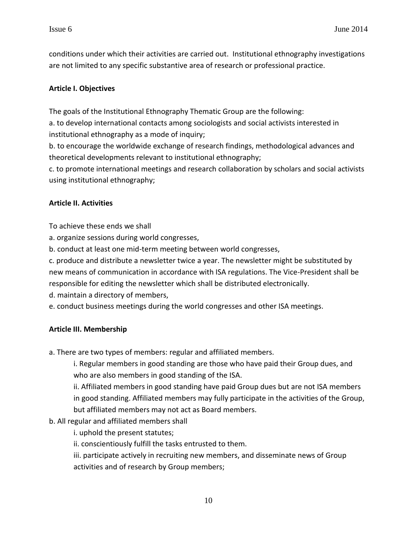conditions under which their activities are carried out. Institutional ethnography investigations are not limited to any specific substantive area of research or professional practice.

#### **Article I. Objectives**

The goals of the Institutional Ethnography Thematic Group are the following:

a. to develop international contacts among sociologists and social activists interested in institutional ethnography as a mode of inquiry;

b. to encourage the worldwide exchange of research findings, methodological advances and theoretical developments relevant to institutional ethnography;

c. to promote international meetings and research collaboration by scholars and social activists using institutional ethnography;

#### **Article II. Activities**

To achieve these ends we shall

a. organize sessions during world congresses,

b. conduct at least one mid-term meeting between world congresses,

c. produce and distribute a newsletter twice a year. The newsletter might be substituted by new means of communication in accordance with ISA regulations. The Vice-President shall be responsible for editing the newsletter which shall be distributed electronically.

d. maintain a directory of members,

e. conduct business meetings during the world congresses and other ISA meetings.

#### **Article III. Membership**

a. There are two types of members: regular and affiliated members.

i. Regular members in good standing are those who have paid their Group dues, and who are also members in good standing of the ISA.

ii. Affiliated members in good standing have paid Group dues but are not ISA members in good standing. Affiliated members may fully participate in the activities of the Group, but affiliated members may not act as Board members.

b. All regular and affiliated members shall

i. uphold the present statutes;

ii. conscientiously fulfill the tasks entrusted to them.

iii. participate actively in recruiting new members, and disseminate news of Group activities and of research by Group members;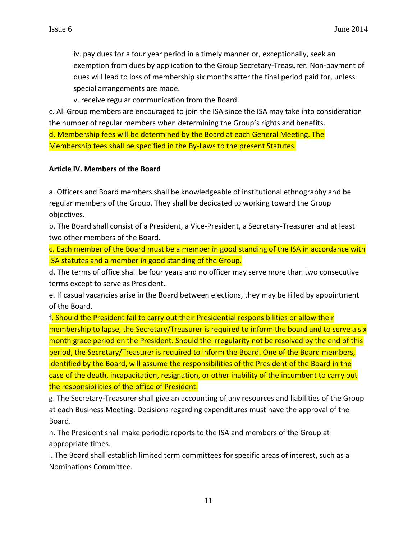iv. pay dues for a four year period in a timely manner or, exceptionally, seek an exemption from dues by application to the Group Secretary-Treasurer. Non-payment of dues will lead to loss of membership six months after the final period paid for, unless special arrangements are made.

v. receive regular communication from the Board.

c. All Group members are encouraged to join the ISA since the ISA may take into consideration the number of regular members when determining the Group's rights and benefits. d. Membership fees will be determined by the Board at each General Meeting. The Membership fees shall be specified in the By-Laws to the present Statutes.

#### **Article IV. Members of the Board**

a. Officers and Board members shall be knowledgeable of institutional ethnography and be regular members of the Group. They shall be dedicated to working toward the Group objectives.

b. The Board shall consist of a President, a Vice-President, a Secretary-Treasurer and at least two other members of the Board.

c. Each member of the Board must be a member in good standing of the ISA in accordance with ISA statutes and a member in good standing of the Group.

d. The terms of office shall be four years and no officer may serve more than two consecutive terms except to serve as President.

e. If casual vacancies arise in the Board between elections, they may be filled by appointment of the Board.

f. Should the President fail to carry out their Presidential responsibilities or allow their membership to lapse, the Secretary/Treasurer is required to inform the board and to serve a six month grace period on the President. Should the irregularity not be resolved by the end of this period, the Secretary/Treasurer is required to inform the Board. One of the Board members, identified by the Board, will assume the responsibilities of the President of the Board in the case of the death, incapacitation, resignation, or other inability of the incumbent to carry out the responsibilities of the office of President.

g. The Secretary-Treasurer shall give an accounting of any resources and liabilities of the Group at each Business Meeting. Decisions regarding expenditures must have the approval of the Board.

h. The President shall make periodic reports to the ISA and members of the Group at appropriate times.

i. The Board shall establish limited term committees for specific areas of interest, such as a Nominations Committee.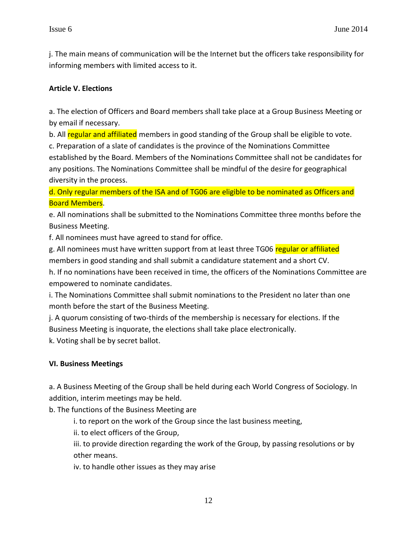j. The main means of communication will be the Internet but the officers take responsibility for informing members with limited access to it.

#### **Article V. Elections**

a. The election of Officers and Board members shall take place at a Group Business Meeting or by email if necessary.

b. All regular and affiliated members in good standing of the Group shall be eligible to vote.

c. Preparation of a slate of candidates is the province of the Nominations Committee established by the Board. Members of the Nominations Committee shall not be candidates for any positions. The Nominations Committee shall be mindful of the desire for geographical diversity in the process.

d. Only regular members of the ISA and of TG06 are eligible to be nominated as Officers and Board Members.

e. All nominations shall be submitted to the Nominations Committee three months before the Business Meeting.

f. All nominees must have agreed to stand for office.

g. All nominees must have written support from at least three TG06 regular or affiliated

members in good standing and shall submit a candidature statement and a short CV.

h. If no nominations have been received in time, the officers of the Nominations Committee are empowered to nominate candidates.

i. The Nominations Committee shall submit nominations to the President no later than one month before the start of the Business Meeting.

j. A quorum consisting of two-thirds of the membership is necessary for elections. If the Business Meeting is inquorate, the elections shall take place electronically.

k. Voting shall be by secret ballot.

#### **VI. Business Meetings**

a. A Business Meeting of the Group shall be held during each World Congress of Sociology. In addition, interim meetings may be held.

b. The functions of the Business Meeting are

i. to report on the work of the Group since the last business meeting,

ii. to elect officers of the Group,

iii. to provide direction regarding the work of the Group, by passing resolutions or by other means.

iv. to handle other issues as they may arise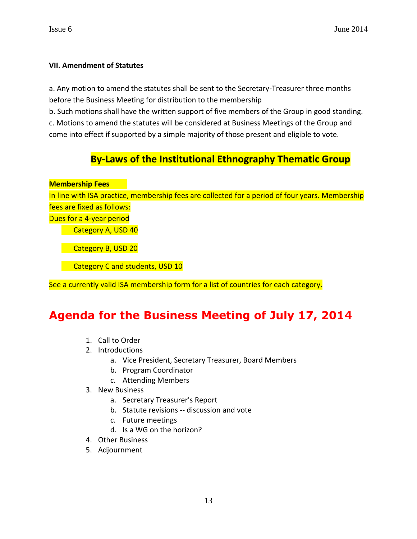#### **VII. Amendment of Statutes**

a. Any motion to amend the statutes shall be sent to the Secretary-Treasurer three months before the Business Meeting for distribution to the membership

b. Such motions shall have the written support of five members of the Group in good standing. c. Motions to amend the statutes will be considered at Business Meetings of the Group and come into effect if supported by a simple majority of those present and eligible to vote.

## **By-Laws of the Institutional Ethnography Thematic Group**

**Membership Fees**

In line with ISA practice, membership fees are collected for a period of four years. Membership fees are fixed as follows:

Dues for a 4-year period

Category A, USD 40

Category B, USD 20

Category C and students, USD 10

See a currently valid ISA membership form for a list of countries for each category.

## **Agenda for the Business Meeting of July 17, 2014**

- 1. Call to Order
- 2. Introductions
	- a. Vice President, Secretary Treasurer, Board Members
	- b. Program Coordinator
	- c. Attending Members
- 3. New Business
	- a. Secretary Treasurer's Report
	- b. Statute revisions -- discussion and vote
	- c. Future meetings
	- d. Is a WG on the horizon?
- 4. Other Business
- 5. Adjournment